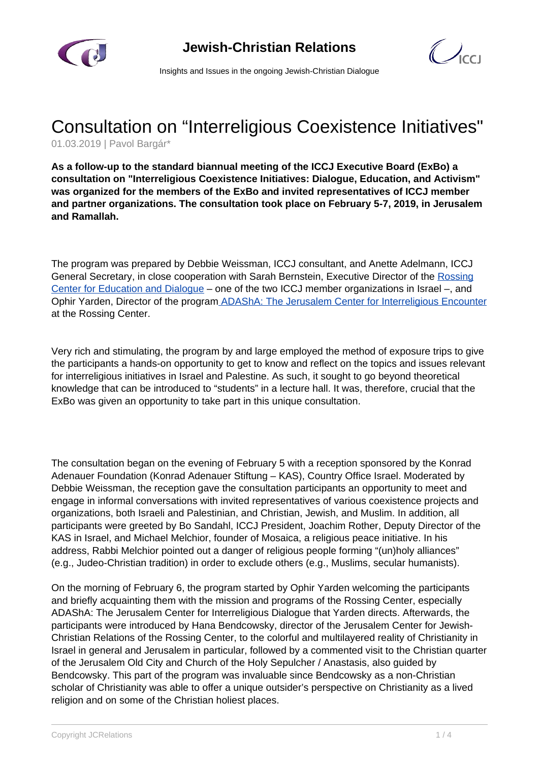



Insights and Issues in the ongoing Jewish-Christian Dialogue

## Consultation on "Interreligious Coexistence Initiatives"

01.03.2019 | Pavol Bargár\*

**As a follow-up to the standard biannual meeting of the ICCJ Executive Board (ExBo) a consultation on "Interreligious Coexistence Initiatives: Dialogue, Education, and Activism" was organized for the members of the ExBo and invited representatives of ICCJ member and partner organizations. The consultation took place on February 5-7, 2019, in Jerusalem and Ramallah.**

The program was prepared by Debbie Weissman, ICCJ consultant, and Anette Adelmann, ICCJ General Secretary, in close cooperation with Sarah Bernstein, Executive Director of the [Rossing](http://rossingcenter.org/en/) [Center for Education and Dialogue](http://rossingcenter.org/en/) – one of the two ICCJ member organizations in Israel –, and Ophir Yarden, Director of the program **ADAShA: The Jerusalem Center for Interreligious Encounter** at the Rossing Center.

Very rich and stimulating, the program by and large employed the method of exposure trips to give the participants a hands-on opportunity to get to know and reflect on the topics and issues relevant for interreligious initiatives in Israel and Palestine. As such, it sought to go beyond theoretical knowledge that can be introduced to "students" in a lecture hall. It was, therefore, crucial that the ExBo was given an opportunity to take part in this unique consultation.

The consultation began on the evening of February 5 with a reception sponsored by the Konrad Adenauer Foundation (Konrad Adenauer Stiftung – KAS), Country Office Israel. Moderated by Debbie Weissman, the reception gave the consultation participants an opportunity to meet and engage in informal conversations with invited representatives of various coexistence projects and organizations, both Israeli and Palestinian, and Christian, Jewish, and Muslim. In addition, all participants were greeted by Bo Sandahl, ICCJ President, Joachim Rother, Deputy Director of the KAS in Israel, and Michael Melchior, founder of Mosaica, a religious peace initiative. In his address, Rabbi Melchior pointed out a danger of religious people forming "(un)holy alliances" (e.g., Judeo-Christian tradition) in order to exclude others (e.g., Muslims, secular humanists).

On the morning of February 6, the program started by Ophir Yarden welcoming the participants and briefly acquainting them with the mission and programs of the Rossing Center, especially ADAShA: The Jerusalem Center for Interreligious Dialogue that Yarden directs. Afterwards, the participants were introduced by Hana Bendcowsky, director of the Jerusalem Center for Jewish-Christian Relations of the Rossing Center, to the colorful and multilayered reality of Christianity in Israel in general and Jerusalem in particular, followed by a commented visit to the Christian quarter of the Jerusalem Old City and Church of the Holy Sepulcher / Anastasis, also guided by Bendcowsky. This part of the program was invaluable since Bendcowsky as a non-Christian scholar of Christianity was able to offer a unique outsider's perspective on Christianity as a lived religion and on some of the Christian holiest places.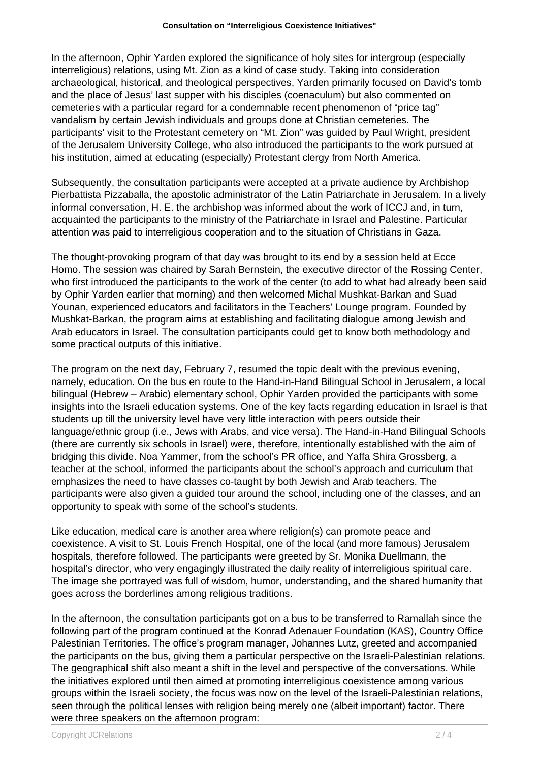In the afternoon, Ophir Yarden explored the significance of holy sites for intergroup (especially interreligious) relations, using Mt. Zion as a kind of case study. Taking into consideration archaeological, historical, and theological perspectives, Yarden primarily focused on David's tomb and the place of Jesus' last supper with his disciples (coenaculum) but also commented on cemeteries with a particular regard for a condemnable recent phenomenon of "price tag" vandalism by certain Jewish individuals and groups done at Christian cemeteries. The participants' visit to the Protestant cemetery on "Mt. Zion" was guided by Paul Wright, president of the Jerusalem University College, who also introduced the participants to the work pursued at his institution, aimed at educating (especially) Protestant clergy from North America.

Subsequently, the consultation participants were accepted at a private audience by Archbishop Pierbattista Pizzaballa, the apostolic administrator of the Latin Patriarchate in Jerusalem. In a lively informal conversation, H. E. the archbishop was informed about the work of ICCJ and, in turn, acquainted the participants to the ministry of the Patriarchate in Israel and Palestine. Particular attention was paid to interreligious cooperation and to the situation of Christians in Gaza.

The thought-provoking program of that day was brought to its end by a session held at Ecce Homo. The session was chaired by Sarah Bernstein, the executive director of the Rossing Center, who first introduced the participants to the work of the center (to add to what had already been said by Ophir Yarden earlier that morning) and then welcomed Michal Mushkat-Barkan and Suad Younan, experienced educators and facilitators in the Teachers' Lounge program. Founded by Mushkat-Barkan, the program aims at establishing and facilitating dialogue among Jewish and Arab educators in Israel. The consultation participants could get to know both methodology and some practical outputs of this initiative.

The program on the next day, February 7, resumed the topic dealt with the previous evening, namely, education. On the bus en route to the Hand-in-Hand Bilingual School in Jerusalem, a local bilingual (Hebrew – Arabic) elementary school, Ophir Yarden provided the participants with some insights into the Israeli education systems. One of the key facts regarding education in Israel is that students up till the university level have very little interaction with peers outside their language/ethnic group (i.e., Jews with Arabs, and vice versa). The Hand-in-Hand Bilingual Schools (there are currently six schools in Israel) were, therefore, intentionally established with the aim of bridging this divide. Noa Yammer, from the school's PR office, and Yaffa Shira Grossberg, a teacher at the school, informed the participants about the school's approach and curriculum that emphasizes the need to have classes co-taught by both Jewish and Arab teachers. The participants were also given a guided tour around the school, including one of the classes, and an opportunity to speak with some of the school's students.

Like education, medical care is another area where religion(s) can promote peace and coexistence. A visit to St. Louis French Hospital, one of the local (and more famous) Jerusalem hospitals, therefore followed. The participants were greeted by Sr. Monika Duellmann, the hospital's director, who very engagingly illustrated the daily reality of interreligious spiritual care. The image she portrayed was full of wisdom, humor, understanding, and the shared humanity that goes across the borderlines among religious traditions.

In the afternoon, the consultation participants got on a bus to be transferred to Ramallah since the following part of the program continued at the Konrad Adenauer Foundation (KAS), Country Office Palestinian Territories. The office's program manager, Johannes Lutz, greeted and accompanied the participants on the bus, giving them a particular perspective on the Israeli-Palestinian relations. The geographical shift also meant a shift in the level and perspective of the conversations. While the initiatives explored until then aimed at promoting interreligious coexistence among various groups within the Israeli society, the focus was now on the level of the Israeli-Palestinian relations, seen through the political lenses with religion being merely one (albeit important) factor. There were three speakers on the afternoon program: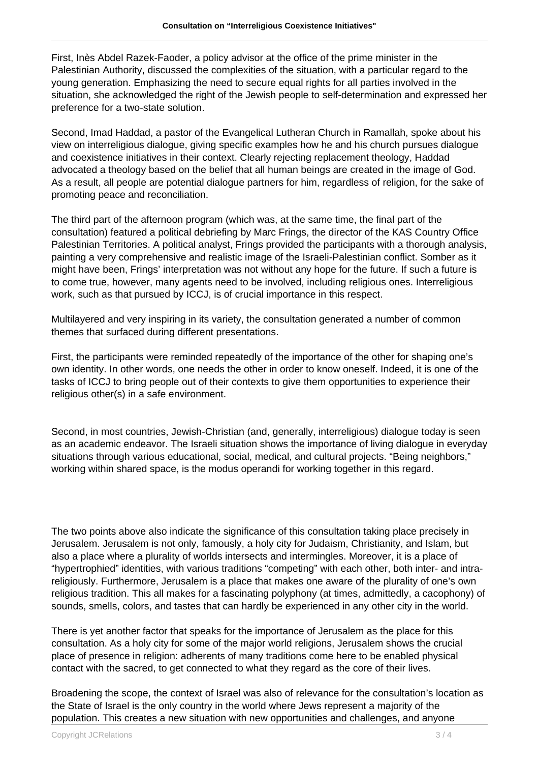First, Inès Abdel Razek-Faoder, a policy advisor at the office of the prime minister in the Palestinian Authority, discussed the complexities of the situation, with a particular regard to the young generation. Emphasizing the need to secure equal rights for all parties involved in the situation, she acknowledged the right of the Jewish people to self-determination and expressed her preference for a two-state solution.

Second, Imad Haddad, a pastor of the Evangelical Lutheran Church in Ramallah, spoke about his view on interreligious dialogue, giving specific examples how he and his church pursues dialogue and coexistence initiatives in their context. Clearly rejecting replacement theology, Haddad advocated a theology based on the belief that all human beings are created in the image of God. As a result, all people are potential dialogue partners for him, regardless of religion, for the sake of promoting peace and reconciliation.

The third part of the afternoon program (which was, at the same time, the final part of the consultation) featured a political debriefing by Marc Frings, the director of the KAS Country Office Palestinian Territories. A political analyst, Frings provided the participants with a thorough analysis, painting a very comprehensive and realistic image of the Israeli-Palestinian conflict. Somber as it might have been, Frings' interpretation was not without any hope for the future. If such a future is to come true, however, many agents need to be involved, including religious ones. Interreligious work, such as that pursued by ICCJ, is of crucial importance in this respect.

Multilayered and very inspiring in its variety, the consultation generated a number of common themes that surfaced during different presentations.

First, the participants were reminded repeatedly of the importance of the other for shaping one's own identity. In other words, one needs the other in order to know oneself. Indeed, it is one of the tasks of ICCJ to bring people out of their contexts to give them opportunities to experience their religious other(s) in a safe environment.

Second, in most countries, Jewish-Christian (and, generally, interreligious) dialogue today is seen as an academic endeavor. The Israeli situation shows the importance of living dialogue in everyday situations through various educational, social, medical, and cultural projects. "Being neighbors," working within shared space, is the modus operandi for working together in this regard.

The two points above also indicate the significance of this consultation taking place precisely in Jerusalem. Jerusalem is not only, famously, a holy city for Judaism, Christianity, and Islam, but also a place where a plurality of worlds intersects and intermingles. Moreover, it is a place of "hypertrophied" identities, with various traditions "competing" with each other, both inter- and intrareligiously. Furthermore, Jerusalem is a place that makes one aware of the plurality of one's own religious tradition. This all makes for a fascinating polyphony (at times, admittedly, a cacophony) of sounds, smells, colors, and tastes that can hardly be experienced in any other city in the world.

There is yet another factor that speaks for the importance of Jerusalem as the place for this consultation. As a holy city for some of the major world religions, Jerusalem shows the crucial place of presence in religion: adherents of many traditions come here to be enabled physical contact with the sacred, to get connected to what they regard as the core of their lives.

Broadening the scope, the context of Israel was also of relevance for the consultation's location as the State of Israel is the only country in the world where Jews represent a majority of the population. This creates a new situation with new opportunities and challenges, and anyone